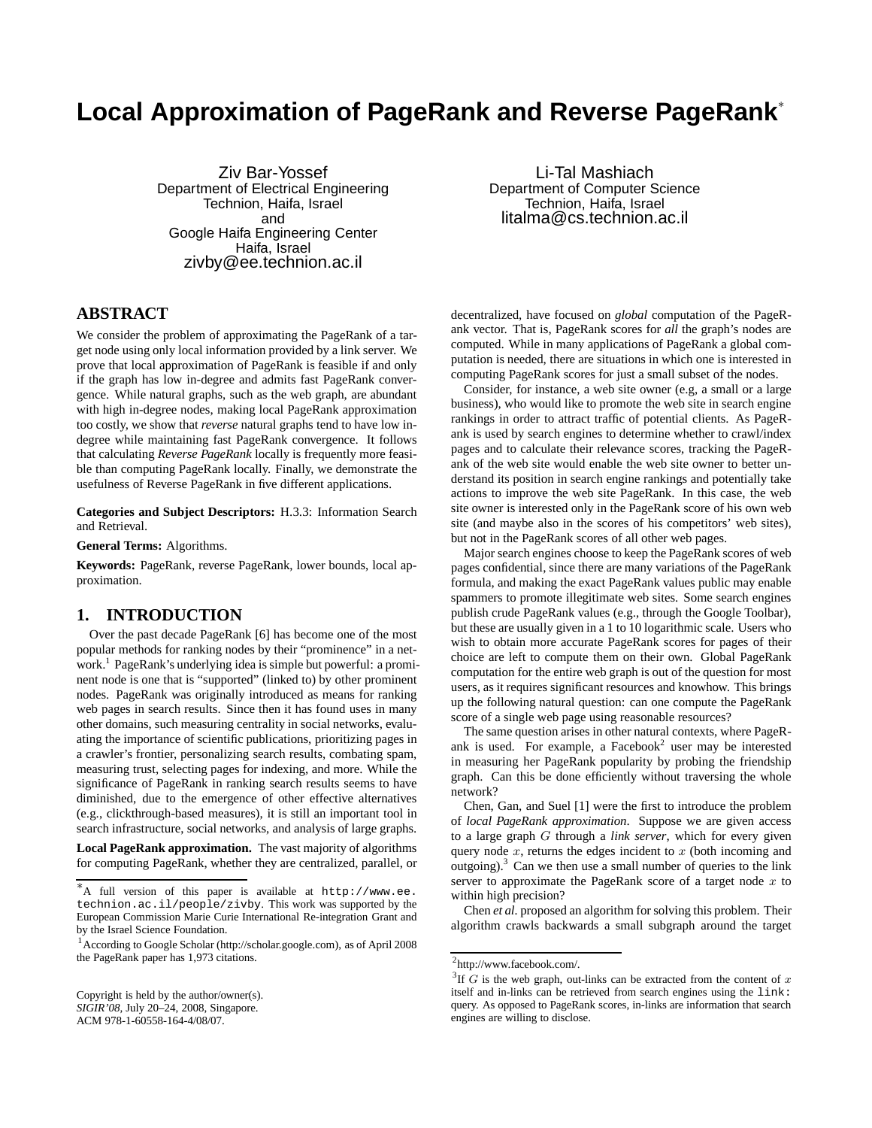## **Local Approximation of PageRank and Reverse PageRank**<sup>∗</sup>

Ziv Bar-Yossef Department of Electrical Engineering Technion, Haifa, Israel and Google Haifa Engineering Center Haifa, Israel zivby@ee.technion.ac.il

Li-Tal Mashiach Department of Computer Science Technion, Haifa, Israel litalma@cs.technion.ac.il

## **ABSTRACT**

We consider the problem of approximating the PageRank of a target node using only local information provided by a link server. We prove that local approximation of PageRank is feasible if and only if the graph has low in-degree and admits fast PageRank convergence. While natural graphs, such as the web graph, are abundant with high in-degree nodes, making local PageRank approximation too costly, we show that *reverse* natural graphs tend to have low indegree while maintaining fast PageRank convergence. It follows that calculating *Reverse PageRank* locally is frequently more feasible than computing PageRank locally. Finally, we demonstrate the usefulness of Reverse PageRank in five different applications.

**Categories and Subject Descriptors:** H.3.3: Information Search and Retrieval.

**General Terms:** Algorithms.

**Keywords:** PageRank, reverse PageRank, lower bounds, local approximation.

## **1. INTRODUCTION**

Over the past decade PageRank [6] has become one of the most popular methods for ranking nodes by their "prominence" in a network.<sup>1</sup> PageRank's underlying idea is simple but powerful: a prominent node is one that is "supported" (linked to) by other prominent nodes. PageRank was originally introduced as means for ranking web pages in search results. Since then it has found uses in many other domains, such measuring centrality in social networks, evaluating the importance of scientific publications, prioritizing pages in a crawler's frontier, personalizing search results, combating spam, measuring trust, selecting pages for indexing, and more. While the significance of PageRank in ranking search results seems to have diminished, due to the emergence of other effective alternatives (e.g., clickthrough-based measures), it is still an important tool in search infrastructure, social networks, and analysis of large graphs.

**Local PageRank approximation.** The vast majority of algorithms for computing PageRank, whether they are centralized, parallel, or

Copyright is held by the author/owner(s). *SIGIR'08,* July 20–24, 2008, Singapore. ACM 978-1-60558-164-4/08/07.

decentralized, have focused on *global* computation of the PageRank vector. That is, PageRank scores for *all* the graph's nodes are computed. While in many applications of PageRank a global computation is needed, there are situations in which one is interested in computing PageRank scores for just a small subset of the nodes.

Consider, for instance, a web site owner (e.g, a small or a large business), who would like to promote the web site in search engine rankings in order to attract traffic of potential clients. As PageRank is used by search engines to determine whether to crawl/index pages and to calculate their relevance scores, tracking the PageRank of the web site would enable the web site owner to better understand its position in search engine rankings and potentially take actions to improve the web site PageRank. In this case, the web site owner is interested only in the PageRank score of his own web site (and maybe also in the scores of his competitors' web sites), but not in the PageRank scores of all other web pages.

Major search engines choose to keep the PageRank scores of web pages confidential, since there are many variations of the PageRank formula, and making the exact PageRank values public may enable spammers to promote illegitimate web sites. Some search engines publish crude PageRank values (e.g., through the Google Toolbar), but these are usually given in a 1 to 10 logarithmic scale. Users who wish to obtain more accurate PageRank scores for pages of their choice are left to compute them on their own. Global PageRank computation for the entire web graph is out of the question for most users, as it requires significant resources and knowhow. This brings up the following natural question: can one compute the PageRank score of a single web page using reasonable resources?

The same question arises in other natural contexts, where PageRank is used. For example, a Facebook<sup>2</sup> user may be interested in measuring her PageRank popularity by probing the friendship graph. Can this be done efficiently without traversing the whole network?

Chen, Gan, and Suel [1] were the first to introduce the problem of *local PageRank approximation*. Suppose we are given access to a large graph G through a *link server*, which for every given query node  $x$ , returns the edges incident to  $x$  (both incoming and outgoing). $3$  Can we then use a small number of queries to the link server to approximate the PageRank score of a target node  $x$  to within high precision?

Chen *et al.* proposed an algorithm for solving this problem. Their algorithm crawls backwards a small subgraph around the target

<sup>∗</sup>A full version of this paper is available at http://www.ee. technion.ac.il/people/zivby. This work was supported by the European Commission Marie Curie International Re-integration Grant and by the Israel Science Foundation.

<sup>&</sup>lt;sup>1</sup> According to Google Scholar (http://scholar.google.com), as of April 2008 the PageRank paper has 1,973 citations.

<sup>&</sup>lt;sup>2</sup>http://www.facebook.com/.

 $3$ If G is the web graph, out-links can be extracted from the content of x itself and in-links can be retrieved from search engines using the link: query. As opposed to PageRank scores, in-links are information that search engines are willing to disclose.